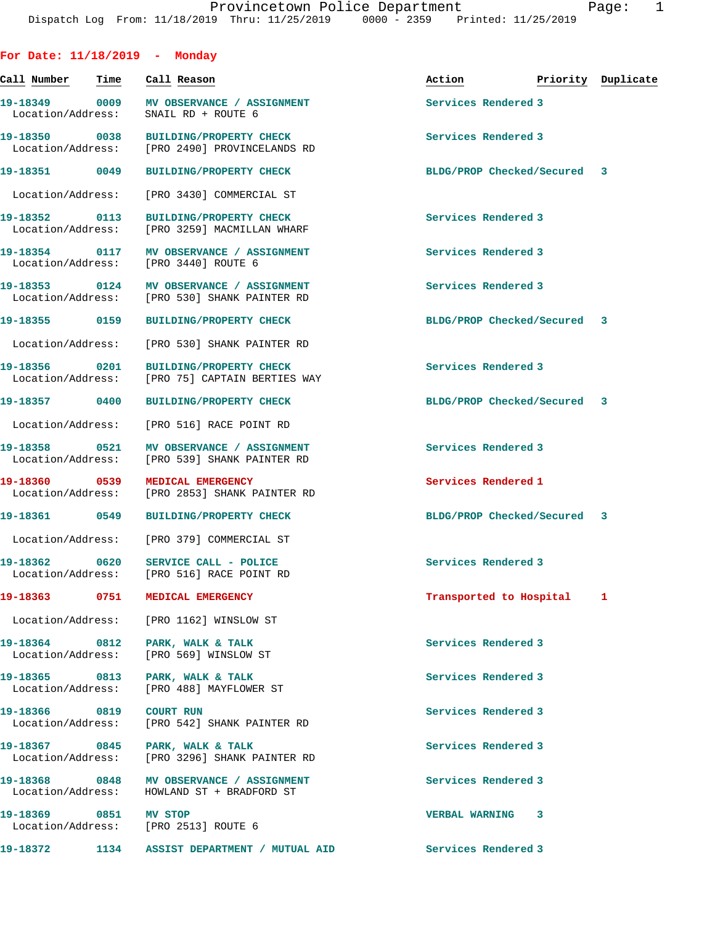| For Date: $11/18/2019$ - Monday    |      |                                                                                        |                             |                    |
|------------------------------------|------|----------------------------------------------------------------------------------------|-----------------------------|--------------------|
| Call Number                        | Time | Call Reason                                                                            | Action                      | Priority Duplicate |
| Location/Address:                  |      | 19-18349 0009 MV OBSERVANCE / ASSIGNMENT<br>SNAIL RD + ROUTE 6                         | Services Rendered 3         |                    |
| 19-18350 0038                      |      | <b>BUILDING/PROPERTY CHECK</b><br>Location/Address: [PRO 2490] PROVINCELANDS RD        | Services Rendered 3         |                    |
| 19-18351 0049                      |      | <b>BUILDING/PROPERTY CHECK</b>                                                         | BLDG/PROP Checked/Secured 3 |                    |
| Location/Address:                  |      | [PRO 3430] COMMERCIAL ST                                                               |                             |                    |
| 19-18352 0113                      |      | BUILDING/PROPERTY CHECK<br>Location/Address: [PRO 3259] MACMILLAN WHARF                | Services Rendered 3         |                    |
| 19-18354 0117<br>Location/Address: |      | MV OBSERVANCE / ASSIGNMENT<br>[PRO 3440] ROUTE 6                                       | Services Rendered 3         |                    |
| 19-18353 0124                      |      | MV OBSERVANCE / ASSIGNMENT<br>Location/Address: [PRO 530] SHANK PAINTER RD             | Services Rendered 3         |                    |
|                                    |      | 19-18355 0159 BUILDING/PROPERTY CHECK                                                  | BLDG/PROP Checked/Secured 3 |                    |
|                                    |      | Location/Address: [PRO 530] SHANK PAINTER RD                                           |                             |                    |
| 19-18356 0201<br>Location/Address: |      | <b>BUILDING/PROPERTY CHECK</b><br>[PRO 75] CAPTAIN BERTIES WAY                         | Services Rendered 3         |                    |
| 19-18357 0400                      |      | <b>BUILDING/PROPERTY CHECK</b>                                                         | BLDG/PROP Checked/Secured 3 |                    |
|                                    |      | Location/Address: [PRO 516] RACE POINT RD                                              |                             |                    |
| 19-18358 0521<br>Location/Address: |      | MV OBSERVANCE / ASSIGNMENT<br>[PRO 539] SHANK PAINTER RD                               | Services Rendered 3         |                    |
| 19-18360 0539                      |      | MEDICAL EMERGENCY<br>Location/Address: [PRO 2853] SHANK PAINTER RD                     | Services Rendered 1         |                    |
|                                    |      | 19-18361 0549 BUILDING/PROPERTY CHECK                                                  | BLDG/PROP Checked/Secured 3 |                    |
|                                    |      | Location/Address: [PRO 379] COMMERCIAL ST                                              |                             |                    |
| 19-18362 0620                      |      | SERVICE CALL - POLICE<br>Location/Address: [PRO 516] RACE POINT RD                     | Services Rendered 3         |                    |
|                                    |      | 19-18363 0751 MEDICAL EMERGENCY                                                        | Transported to Hospital 1   |                    |
|                                    |      | Location/Address: [PRO 1162] WINSLOW ST                                                |                             |                    |
|                                    |      | 19-18364 0812 PARK, WALK & TALK<br>Location/Address: [PRO 569] WINSLOW ST              | Services Rendered 3         |                    |
|                                    |      | 19-18365 0813 PARK, WALK & TALK<br>Location/Address: [PRO 488] MAYFLOWER ST            | Services Rendered 3         |                    |
| 19-18366 0819 COURT RUN            |      | Location/Address: [PRO 542] SHANK PAINTER RD                                           | Services Rendered 3         |                    |
|                                    |      | 19-18367 0845 PARK, WALK & TALK<br>Location/Address: [PRO 3296] SHANK PAINTER RD       | Services Rendered 3         |                    |
|                                    |      | 19-18368 0848 MV OBSERVANCE / ASSIGNMENT<br>Location/Address: HOWLAND ST + BRADFORD ST | Services Rendered 3         |                    |
| 19-18369 0851 MV STOP              |      | Location/Address: [PRO 2513] ROUTE 6                                                   | VERBAL WARNING 3            |                    |
|                                    |      |                                                                                        | Services Rendered 3         |                    |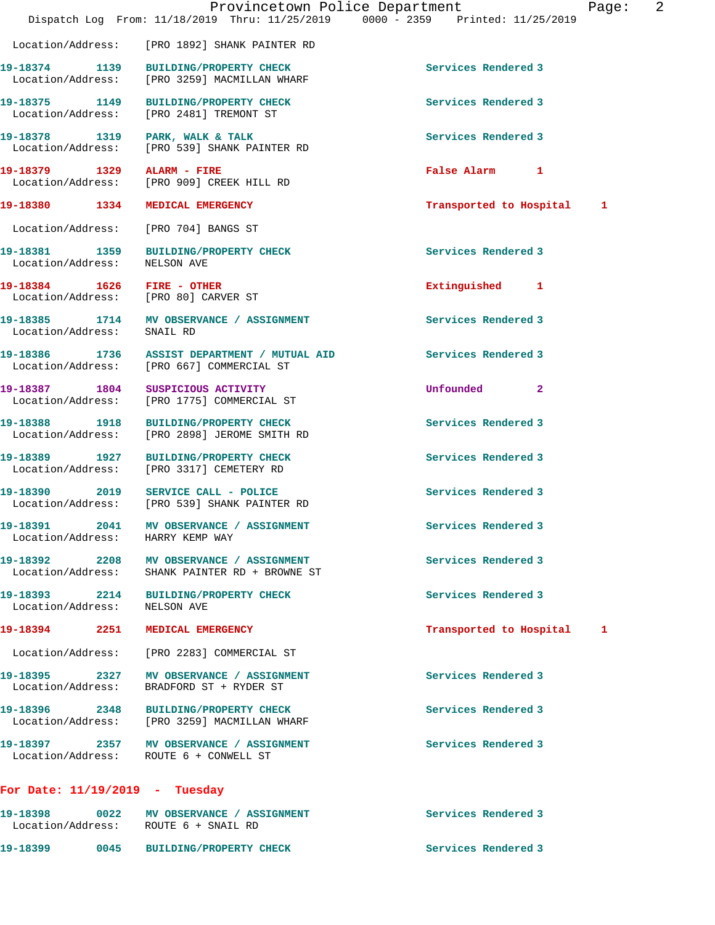|                                       |                                                                                           | Provincetown Police Department<br>Dispatch Log From: 11/18/2019 Thru: 11/25/2019 0000 - 2359 Printed: 11/25/2019 | Page |
|---------------------------------------|-------------------------------------------------------------------------------------------|------------------------------------------------------------------------------------------------------------------|------|
|                                       | Location/Address: [PRO 1892] SHANK PAINTER RD                                             |                                                                                                                  |      |
|                                       | 19-18374 1139 BUILDING/PROPERTY CHECK<br>Location/Address: [PRO 3259] MACMILLAN WHARF     | Services Rendered 3                                                                                              |      |
|                                       | 19-18375 1149 BUILDING/PROPERTY CHECK<br>Location/Address: [PRO 2481] TREMONT ST          | Services Rendered 3                                                                                              |      |
|                                       | 19-18378 1319 PARK, WALK & TALK<br>Location/Address: [PRO 539] SHANK PAINTER RD           | Services Rendered 3                                                                                              |      |
| 19-18379   1329   ALARM - FIRE        | Location/Address: [PRO 909] CREEK HILL RD                                                 | False Alarm 1                                                                                                    |      |
|                                       | 19-18380 1334 MEDICAL EMERGENCY                                                           | Transported to Hospital 1                                                                                        |      |
|                                       | Location/Address: [PRO 704] BANGS ST                                                      |                                                                                                                  |      |
| Location/Address: NELSON AVE          | 19-18381 1359 BUILDING/PROPERTY CHECK                                                     | Services Rendered 3                                                                                              |      |
|                                       | 19-18384 1626 FIRE - OTHER<br>Location/Address: [PRO 80] CARVER ST                        | Extinguished 1                                                                                                   |      |
|                                       | 19-18385 1714 MV OBSERVANCE / ASSIGNMENT<br>Location/Address: SNAIL RD                    | Services Rendered 3                                                                                              |      |
|                                       | 19-18386 1736 ASSIST DEPARTMENT / MUTUAL AID<br>Location/Address: [PRO 667] COMMERCIAL ST | Services Rendered 3                                                                                              |      |
|                                       | 19-18387 1804 SUSPICIOUS ACTIVITY<br>Location/Address: [PRO 1775] COMMERCIAL ST           | Unfounded 2                                                                                                      |      |
| 19-18388 1918                         | <b>BUILDING/PROPERTY CHECK</b><br>Location/Address: [PRO 2898] JEROME SMITH RD            | Services Rendered 3                                                                                              |      |
|                                       | 19-18389 1927 BUILDING/PROPERTY CHECK<br>Location/Address: [PRO 3317] CEMETERY RD         | Services Rendered 3                                                                                              |      |
|                                       | 19-18390 2019 SERVICE CALL - POLICE<br>Location/Address: [PRO 539] SHANK PAINTER RD       | Services Rendered 3                                                                                              |      |
| 19-18391<br>2041<br>Location/Address: | MV OBSERVANCE / ASSIGNMENT<br>HARRY KEMP WAY                                              | Services Rendered 3                                                                                              |      |
| Location/Address:                     | 19-18392 2208 MV OBSERVANCE / ASSIGNMENT<br>SHANK PAINTER RD + BROWNE ST                  | Services Rendered 3                                                                                              |      |
| Location/Address: NELSON AVE          | 19-18393 2214 BUILDING/PROPERTY CHECK                                                     | Services Rendered 3                                                                                              |      |
| 19-18394 2251                         | MEDICAL EMERGENCY                                                                         | Transported to Hospital                                                                                          | 1    |
|                                       | Location/Address: [PRO 2283] COMMERCIAL ST                                                |                                                                                                                  |      |
| 19-18395 2327<br>Location/Address:    | MV OBSERVANCE / ASSIGNMENT<br>BRADFORD ST + RYDER ST                                      | Services Rendered 3                                                                                              |      |
| 19-18396 2348                         | <b>BUILDING/PROPERTY CHECK</b><br>Location/Address: [PRO 3259] MACMILLAN WHARF            | Services Rendered 3                                                                                              |      |
|                                       | 19-18397 2357 MV OBSERVANCE / ASSIGNMENT<br>Location/Address: ROUTE 6 + CONWELL ST        | Services Rendered 3                                                                                              |      |
| For Date: $11/19/2019$ - Tuesday      |                                                                                           |                                                                                                                  |      |
| 19-18398                              | 0022 MV OBSERVANCE / ASSIGNMENT<br>Location/Address: ROUTE 6 + SNAIL RD                   | Services Rendered 3                                                                                              |      |

**19-18399 0045 BUILDING/PROPERTY CHECK Services Rendered 3** 

Page: 2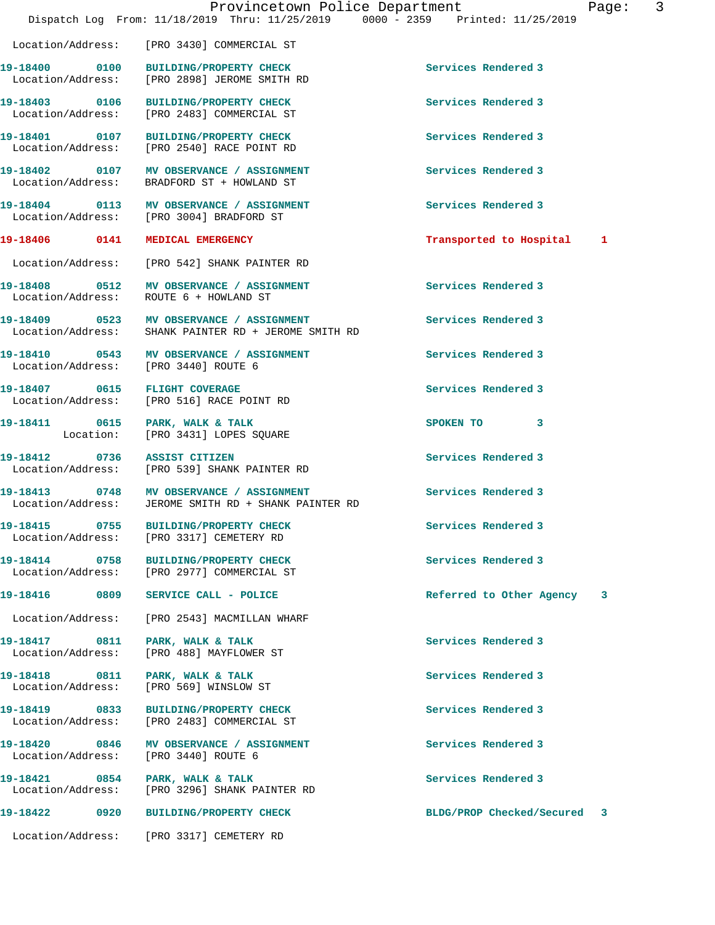|                                    | Provincetown Police Department<br>Dispatch Log From: 11/18/2019 Thru: 11/25/2019 0000 - 2359 Printed: 11/25/2019 |                             | Page: 3 |
|------------------------------------|------------------------------------------------------------------------------------------------------------------|-----------------------------|---------|
|                                    | Location/Address: [PRO 3430] COMMERCIAL ST                                                                       |                             |         |
|                                    | 19-18400 0100 BUILDING/PROPERTY CHECK<br>Location/Address: [PRO 2898] JEROME SMITH RD                            | Services Rendered 3         |         |
|                                    | 19-18403 0106 BUILDING/PROPERTY CHECK<br>Location/Address: [PRO 2483] COMMERCIAL ST                              | Services Rendered 3         |         |
|                                    | 19-18401 0107 BUILDING/PROPERTY CHECK<br>Location/Address: [PRO 2540] RACE POINT RD                              | Services Rendered 3         |         |
|                                    | 19-18402 0107 MV OBSERVANCE / ASSIGNMENT<br>Location/Address: BRADFORD ST + HOWLAND ST                           | Services Rendered 3         |         |
|                                    | 19-18404 0113 MV OBSERVANCE / ASSIGNMENT<br>Location/Address: [PRO 3004] BRADFORD ST                             | Services Rendered 3         |         |
|                                    | 19-18406 0141 MEDICAL EMERGENCY                                                                                  | Transported to Hospital 1   |         |
|                                    | Location/Address: [PRO 542] SHANK PAINTER RD                                                                     |                             |         |
|                                    | 19-18408 0512 MV OBSERVANCE / ASSIGNMENT<br>Location/Address: ROUTE 6 + HOWLAND ST                               | Services Rendered 3         |         |
|                                    | 19-18409 0523 MV OBSERVANCE / ASSIGNMENT<br>Location/Address: SHANK PAINTER RD + JEROME SMITH RD                 | Services Rendered 3         |         |
|                                    |                                                                                                                  | Services Rendered 3         |         |
|                                    | 19-18407 0615 FLIGHT COVERAGE<br>Location/Address: [PRO 516] RACE POINT RD                                       | Services Rendered 3         |         |
|                                    | 19-18411 0615 PARK, WALK & TALK<br>Location: [PRO 3431] LOPES SQUARE                                             | SPOKEN TO 3                 |         |
| 19-18412 0736 ASSIST CITIZEN       | Location/Address: [PRO 539] SHANK PAINTER RD                                                                     | Services Rendered 3         |         |
|                                    | 19-18413 0748 MV OBSERVANCE / ASSIGNMENT<br>Location/Address: JEROME SMITH RD + SHANK PAINTER RD                 | Services Rendered 3         |         |
|                                    | 19-18415 0755 BUILDING/PROPERTY CHECK<br>Location/Address: [PRO 3317] CEMETERY RD                                | Services Rendered 3         |         |
|                                    | 19-18414 0758 BUILDING/PROPERTY CHECK<br>Location/Address: [PRO 2977] COMMERCIAL ST                              | Services Rendered 3         |         |
|                                    | 19-18416 0809 SERVICE CALL - POLICE                                                                              | Referred to Other Agency    | 3       |
|                                    | Location/Address: [PRO 2543] MACMILLAN WHARF                                                                     |                             |         |
|                                    | 19-18417 0811 PARK, WALK & TALK<br>Location/Address: [PRO 488] MAYFLOWER ST                                      | Services Rendered 3         |         |
| Location/Address:                  | 19-18418 0811 PARK, WALK & TALK<br>[PRO 569] WINSLOW ST                                                          | Services Rendered 3         |         |
|                                    | Location/Address: [PRO 2483] COMMERCIAL ST                                                                       | Services Rendered 3         |         |
| 19-18420 0846<br>Location/Address: | MV OBSERVANCE / ASSIGNMENT<br>[PRO 3440] ROUTE 6                                                                 | Services Rendered 3         |         |
|                                    | 19-18421 0854 PARK, WALK & TALK<br>Location/Address: [PRO 3296] SHANK PAINTER RD                                 | Services Rendered 3         |         |
|                                    |                                                                                                                  | BLDG/PROP Checked/Secured 3 |         |
|                                    |                                                                                                                  |                             |         |

Location/Address: [PRO 3317] CEMETERY RD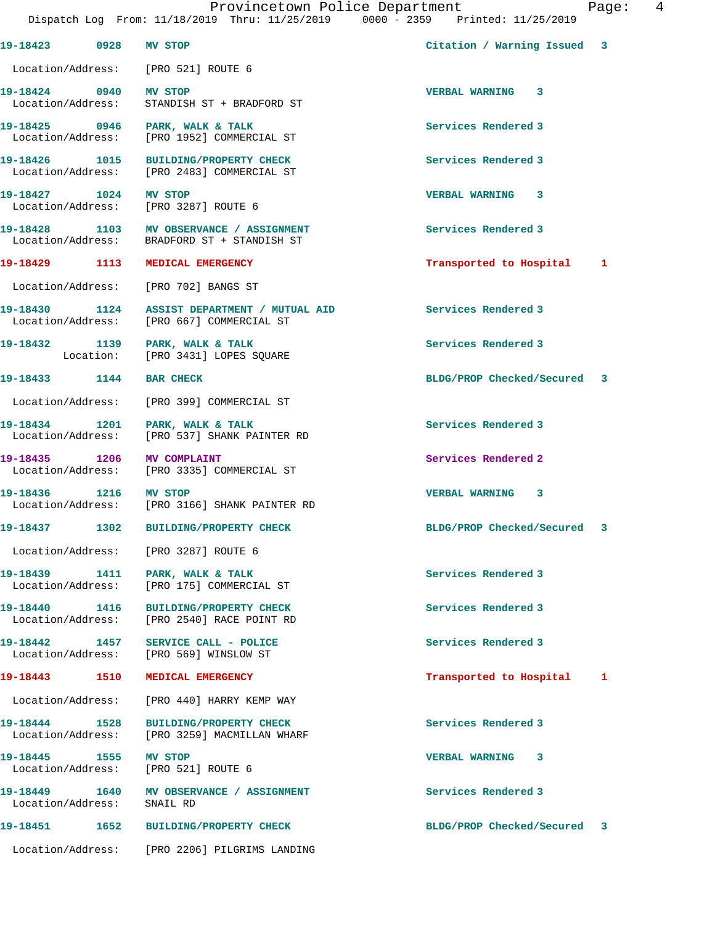**19-18423 0928 MV STOP Citation / Warning Issued 3** Location/Address: [PRO 521] ROUTE 6 **19-18424 0940 MV STOP VERBAL WARNING 3**  Location/Address: STANDISH ST + BRADFORD ST **19-18425 0946 PARK, WALK & TALK Services Rendered 3**  Location/Address: [PRO 1952] COMMERCIAL ST **19-18426 1015 BUILDING/PROPERTY CHECK Services Rendered 3**  Location/Address: [PRO 2483] COMMERCIAL ST **19-18427 1024 MV STOP VERBAL WARNING 3**  Location/Address: [PRO 3287] ROUTE 6 19-18428 1103 MV OBSERVANCE / ASSIGNMENT **Services Rendered 3**  Location/Address: BRADFORD ST + STANDISH ST **19-18429 1113 MEDICAL EMERGENCY Transported to Hospital 1** Location/Address: [PRO 702] BANGS ST **19-18430 1124 ASSIST DEPARTMENT / MUTUAL AID Services Rendered 3**  Location/Address: [PRO 667] COMMERCIAL ST **19-18432 1139 PARK, WALK & TALK Services Rendered 3**  [PRO 3431] LOPES SQUARE **19-18433 1144 BAR CHECK BLDG/PROP Checked/Secured 3** Location/Address: [PRO 399] COMMERCIAL ST 19-18434 1201 PARK, WALK & TALK **Services Rendered 3**  Location/Address: [PRO 537] SHANK PAINTER RD **19-18435 1206 MV COMPLAINT Services Rendered 2**  Location/Address: [PRO 3335] COMMERCIAL ST **19-18436 1216 MV STOP VERBAL WARNING 3**  [PRO 3166] SHANK PAINTER RD **19-18437 1302 BUILDING/PROPERTY CHECK BLDG/PROP Checked/Secured 3** Location/Address: [PRO 3287] ROUTE 6 19-18439 1411 PARK, WALK & TALK **Services Rendered 3**  Location/Address: [PRO 175] COMMERCIAL ST **19-18440 1416 BUILDING/PROPERTY CHECK Services Rendered 3**  Location/Address: [PRO 2540] RACE POINT RD **19-18442 1457 SERVICE CALL - POLICE Services Rendered 3**  Location/Address: [PRO 569] WINSLOW ST **19-18443 1510 MEDICAL EMERGENCY Transported to Hospital 1** Location/Address: [PRO 440] HARRY KEMP WAY **19-18444 1528 BUILDING/PROPERTY CHECK Services Rendered 3**  Location/Address: [PRO 3259] MACMILLAN WHARF **19-18445 1555 MV STOP VERBAL WARNING 3**  Location/Address: [PRO 521] ROUTE 6 **19-18449 1640 MV OBSERVANCE / ASSIGNMENT Services Rendered 3**  Location/Address: SNAIL RD **19-18451 1652 BUILDING/PROPERTY CHECK BLDG/PROP Checked/Secured 3** Location/Address: [PRO 2206] PILGRIMS LANDING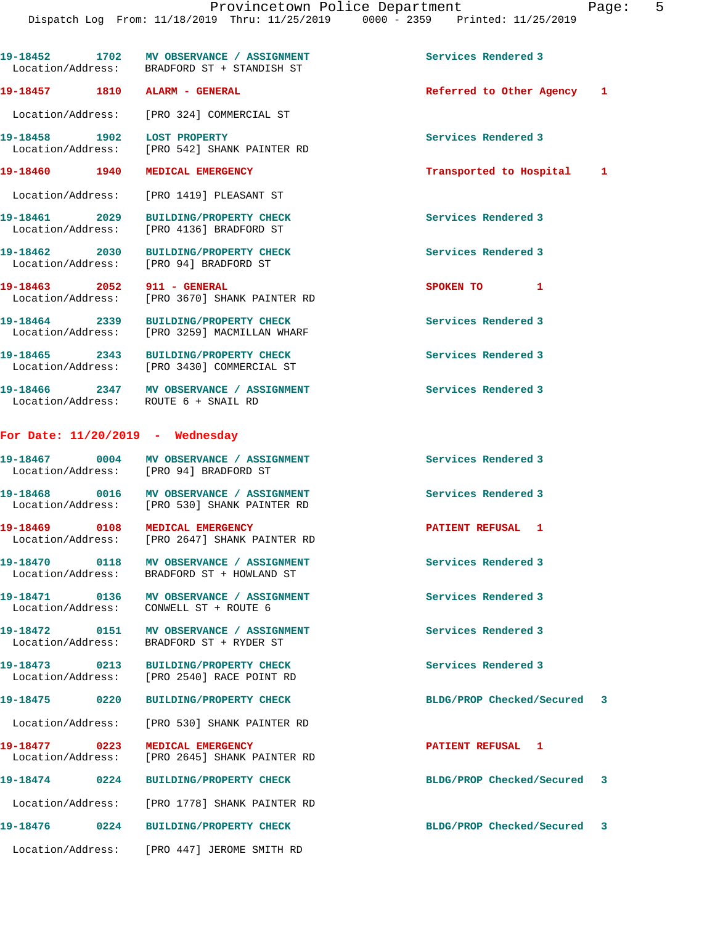|                                    | 19-18452 1702 MV OBSERVANCE / ASSIGNMENT<br>Location/Address: BRADFORD ST + STANDISH ST  | Services Rendered 3         |  |
|------------------------------------|------------------------------------------------------------------------------------------|-----------------------------|--|
|                                    | 19-18457 1810 ALARM - GENERAL                                                            | Referred to Other Agency 1  |  |
|                                    | Location/Address: [PRO 324] COMMERCIAL ST                                                |                             |  |
| 19-18458 1902 LOST PROPERTY        | Location/Address: [PRO 542] SHANK PAINTER RD                                             | Services Rendered 3         |  |
|                                    | 19-18460 1940 MEDICAL EMERGENCY                                                          | Transported to Hospital 1   |  |
|                                    | Location/Address: [PRO 1419] PLEASANT ST                                                 |                             |  |
| 19-18461 2029                      | <b>BUILDING/PROPERTY CHECK</b><br>Location/Address: [PRO 4136] BRADFORD ST               | Services Rendered 3         |  |
|                                    | 19-18462 2030 BUILDING/PROPERTY CHECK<br>Location/Address: [PRO 94] BRADFORD ST          | Services Rendered 3         |  |
| 19-18463 2052 911 - GENERAL        | Location/Address: [PRO 3670] SHANK PAINTER RD                                            | SPOKEN TO 1                 |  |
|                                    | 19-18464 2339 BUILDING/PROPERTY CHECK<br>Location/Address: [PRO 3259] MACMILLAN WHARF    | Services Rendered 3         |  |
|                                    | 19-18465 2343 BUILDING/PROPERTY CHECK<br>Location/Address: [PRO 3430] COMMERCIAL ST      | Services Rendered 3         |  |
|                                    | 19-18466 2347 MV OBSERVANCE / ASSIGNMENT<br>Location/Address: ROUTE 6 + SNAIL RD         | Services Rendered 3         |  |
| For Date: $11/20/2019$ - Wednesday |                                                                                          |                             |  |
|                                    | 19-18467 0004 MV OBSERVANCE / ASSIGNMENT<br>Location/Address: [PRO 94] BRADFORD ST       | Services Rendered 3         |  |
|                                    | 19-18468 0016 MV OBSERVANCE / ASSIGNMENT<br>Location/Address: [PRO 530] SHANK PAINTER RD | Services Rendered 3         |  |
|                                    | 19-18469 0108 MEDICAL EMERGENCY<br>Location/Address: [PRO 2647] SHANK PAINTER RD         | PATIENT REFUSAL 1           |  |
|                                    | 19-18470 0118 MV OBSERVANCE / ASSIGNMENT<br>Location/Address: BRADFORD ST + HOWLAND ST   | Services Rendered 3         |  |
|                                    | 19-18471  0136 MV OBSERVANCE / ASSIGNMENT<br>Location/Address: CONWELL ST + ROUTE 6      | Services Rendered 3         |  |
|                                    | 19-18472 0151 MV OBSERVANCE / ASSIGNMENT<br>Location/Address: BRADFORD ST + RYDER ST     | Services Rendered 3         |  |
|                                    | 19-18473 0213 BUILDING/PROPERTY CHECK<br>Location/Address: [PRO 2540] RACE POINT RD      | Services Rendered 3         |  |
|                                    | 19-18475 0220 BUILDING/PROPERTY CHECK                                                    | BLDG/PROP Checked/Secured 3 |  |
|                                    | Location/Address: [PRO 530] SHANK PAINTER RD                                             |                             |  |
|                                    | 19-18477 0223 MEDICAL EMERGENCY<br>Location/Address: [PRO 2645] SHANK PAINTER RD         | PATIENT REFUSAL 1           |  |
|                                    | 19-18474 0224 BUILDING/PROPERTY CHECK                                                    | BLDG/PROP Checked/Secured 3 |  |
|                                    | Location/Address: [PRO 1778] SHANK PAINTER RD                                            |                             |  |
|                                    |                                                                                          | BLDG/PROP Checked/Secured 3 |  |
|                                    | Location/Address: [PRO 447] JEROME SMITH RD                                              |                             |  |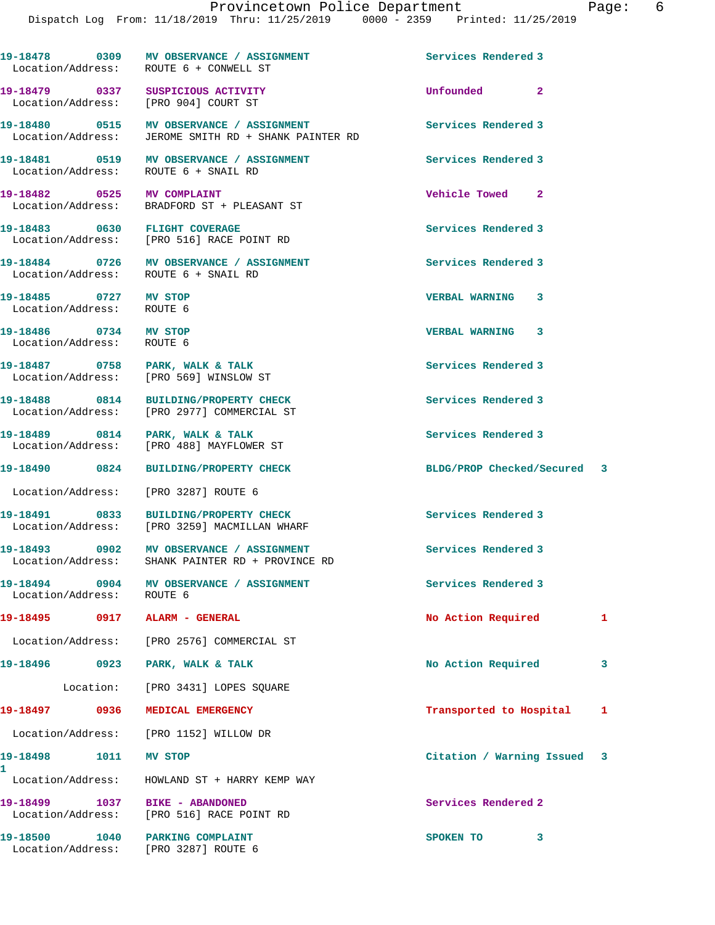|                                                    | 19-18478 0309 MV OBSERVANCE / ASSIGNMENT<br>Location/Address: ROUTE 6 + CONWELL ST           | Services Rendered 3         |   |
|----------------------------------------------------|----------------------------------------------------------------------------------------------|-----------------------------|---|
|                                                    | 19-18479 0337 SUSPICIOUS ACTIVITY<br>Location/Address: [PRO 904] COURT ST                    | Unfounded 2                 |   |
|                                                    |                                                                                              | Services Rendered 3         |   |
|                                                    |                                                                                              | Services Rendered 3         |   |
|                                                    |                                                                                              | Vehicle Towed 2             |   |
|                                                    | 19-18483 0630 FLIGHT COVERAGE<br>Location/Address: [PRO 516] RACE POINT RD                   | Services Rendered 3         |   |
|                                                    | 19-18484 0726 MV OBSERVANCE / ASSIGNMENT<br>Location/Address: ROUTE 6 + SNAIL RD             | Services Rendered 3         |   |
| 19-18485 0727 MV STOP<br>Location/Address:         | ROUTE 6                                                                                      | VERBAL WARNING 3            |   |
| 19-18486 0734 MV STOP<br>Location/Address: ROUTE 6 |                                                                                              | <b>VERBAL WARNING 3</b>     |   |
|                                                    | 19-18487 0758 PARK, WALK & TALK<br>Location/Address: [PRO 569] WINSLOW ST                    | Services Rendered 3         |   |
|                                                    | 19-18488 0814 BUILDING/PROPERTY CHECK<br>Location/Address: [PRO 2977] COMMERCIAL ST          | Services Rendered 3         |   |
|                                                    | 19-18489 0814 PARK, WALK & TALK<br>Location/Address: [PRO 488] MAYFLOWER ST                  | Services Rendered 3         |   |
|                                                    | 19-18490 0824 BUILDING/PROPERTY CHECK                                                        | BLDG/PROP Checked/Secured 3 |   |
|                                                    | Location/Address: [PRO 3287] ROUTE 6                                                         |                             |   |
|                                                    | 19-18491 0833 BUILDING/PROPERTY CHECK<br>Location/Address: [PRO 3259] MACMILLAN WHARF        | Services Rendered 3         |   |
|                                                    | 19-18493 0902 MV OBSERVANCE / ASSIGNMENT<br>Location/Address: SHANK PAINTER RD + PROVINCE RD | Services Rendered 3         |   |
| 19-18494<br>Location/Address: ROUTE 6              | 0904 MV OBSERVANCE / ASSIGNMENT                                                              | Services Rendered 3         |   |
| 19-18495 0917 ALARM - GENERAL                      |                                                                                              | No Action Required          | 1 |
|                                                    | Location/Address: [PRO 2576] COMMERCIAL ST                                                   |                             |   |
| 0923<br>19-18496                                   | PARK, WALK & TALK                                                                            | No Action Required          | 3 |
|                                                    | Location: [PRO 3431] LOPES SQUARE                                                            |                             |   |
| 19-18497 0936                                      | MEDICAL EMERGENCY                                                                            | Transported to Hospital     | 1 |
|                                                    | Location/Address: [PRO 1152] WILLOW DR                                                       |                             |   |
| 19-18498<br>1011                                   | MV STOP                                                                                      | Citation / Warning Issued 3 |   |
| 1                                                  | Location/Address: HOWLAND ST + HARRY KEMP WAY                                                |                             |   |
| 1037<br>19-18499<br>Location/Address:              | BIKE - ABANDONED<br>[PRO 516] RACE POINT RD                                                  | Services Rendered 2         |   |
| 19-18500<br>Location/Address:                      | 1040 PARKING COMPLAINT<br>[PRO 3287] ROUTE 6                                                 | SPOKEN TO<br>3              |   |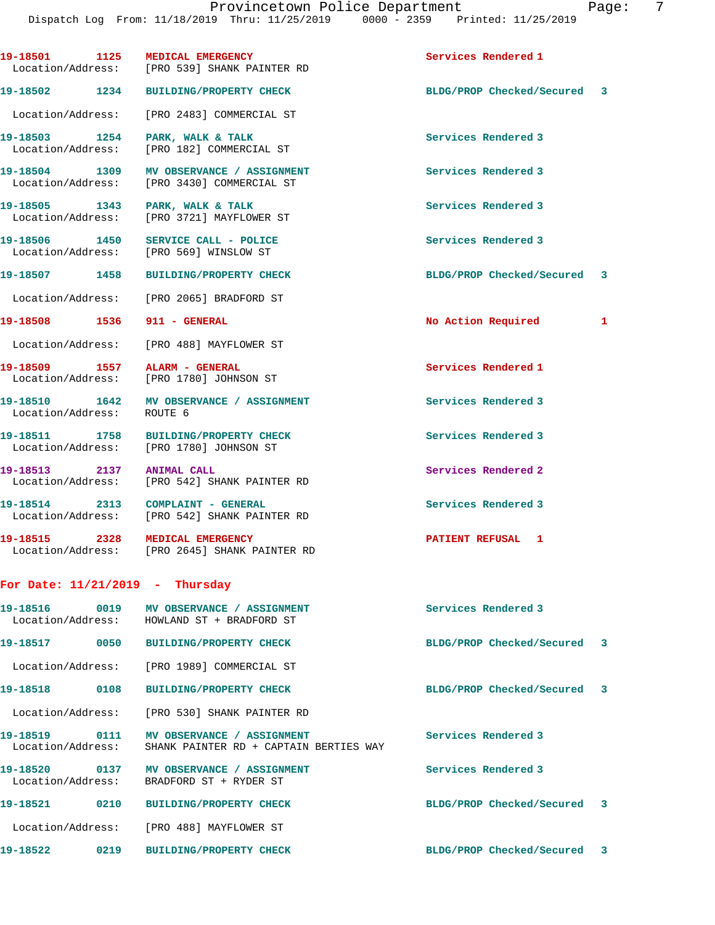|                                    |      | 19-18501 1125 MEDICAL EMERGENCY<br>Location/Address: [PRO 539] SHANK PAINTER RD        | Services Rendered 1         |   |
|------------------------------------|------|----------------------------------------------------------------------------------------|-----------------------------|---|
| 19-18502                           | 1234 | <b>BUILDING/PROPERTY CHECK</b>                                                         | BLDG/PROP Checked/Secured 3 |   |
| Location/Address:                  |      | [PRO 2483] COMMERCIAL ST                                                               |                             |   |
| 19-18503 1254<br>Location/Address: |      | PARK, WALK & TALK<br>[PRO 182] COMMERCIAL ST                                           | Services Rendered 3         |   |
|                                    |      | 19-18504 1309 MV OBSERVANCE / ASSIGNMENT<br>Location/Address: [PRO 3430] COMMERCIAL ST | Services Rendered 3         |   |
|                                    |      | 19-18505 1343 PARK, WALK & TALK<br>Location/Address: [PRO 3721] MAYFLOWER ST           | Services Rendered 3         |   |
|                                    |      | 19-18506 1450 SERVICE CALL - POLICE<br>Location/Address: [PRO 569] WINSLOW ST          | Services Rendered 3         |   |
| 19-18507 1458                      |      | <b>BUILDING/PROPERTY CHECK</b>                                                         | BLDG/PROP Checked/Secured   | 3 |
|                                    |      | Location/Address: [PRO 2065] BRADFORD ST                                               |                             |   |
|                                    |      | 19-18508    1536    911 - GENERAL                                                      | No Action Required          | 1 |
|                                    |      | Location/Address: [PRO 488] MAYFLOWER ST                                               |                             |   |
|                                    |      | 19-18509 1557 ALARM - GENERAL<br>Location/Address: [PRO 1780] JOHNSON ST               | Services Rendered 1         |   |
| Location/Address: ROUTE 6          |      | 19-18510 1642 MV OBSERVANCE / ASSIGNMENT                                               | Services Rendered 3         |   |
|                                    |      | 19-18511 1758 BUILDING/PROPERTY CHECK<br>Location/Address: [PRO 1780] JOHNSON ST       | Services Rendered 3         |   |
|                                    |      | 19-18513 2137 ANIMAL CALL<br>Location/Address: [PRO 542] SHANK PAINTER RD              | Services Rendered 2         |   |
|                                    |      | 19-18514 2313 COMPLAINT - GENERAL<br>Location/Address: [PRO 542] SHANK PAINTER RD      | Services Rendered 3         |   |
|                                    |      | 19-18515 2328 MEDICAL EMERGENCY<br>Location/Address: [PRO 2645] SHANK PAINTER RD       | PATIENT REFUSAL 1           |   |
|                                    |      | For Date: $11/21/2019$ - Thursday                                                      |                             |   |
|                                    |      | Location/Address: HOWLAND ST + BRADFORD ST                                             | Services Rendered 3         |   |
|                                    |      | 19-18517 0050 BUILDING/PROPERTY CHECK                                                  | BLDG/PROP Checked/Secured   | 3 |
|                                    |      | Location/Address: [PRO 1989] COMMERCIAL ST                                             |                             |   |
| 19-18518                           | 0108 | <b>BUILDING/PROPERTY CHECK</b>                                                         | BLDG/PROP Checked/Secured   | 3 |
|                                    |      | Location/Address: [PRO 530] SHANK PAINTER RD                                           |                             |   |
| 19-18519 0111<br>Location/Address: |      | <b>MV OBSERVANCE / ASSIGNMENT</b><br>SHANK PAINTER RD + CAPTAIN BERTIES WAY            | Services Rendered 3         |   |
|                                    |      | 19-18520 0137 MV OBSERVANCE / ASSIGNMENT<br>Location/Address: BRADFORD ST + RYDER ST   | Services Rendered 3         |   |
| 19-18521                           | 0210 | <b>BUILDING/PROPERTY CHECK</b>                                                         | BLDG/PROP Checked/Secured   | 3 |
|                                    |      | Location/Address: [PRO 488] MAYFLOWER ST                                               |                             |   |
| 19-18522                           | 0219 | <b>BUILDING/PROPERTY CHECK</b>                                                         | BLDG/PROP Checked/Secured   | 3 |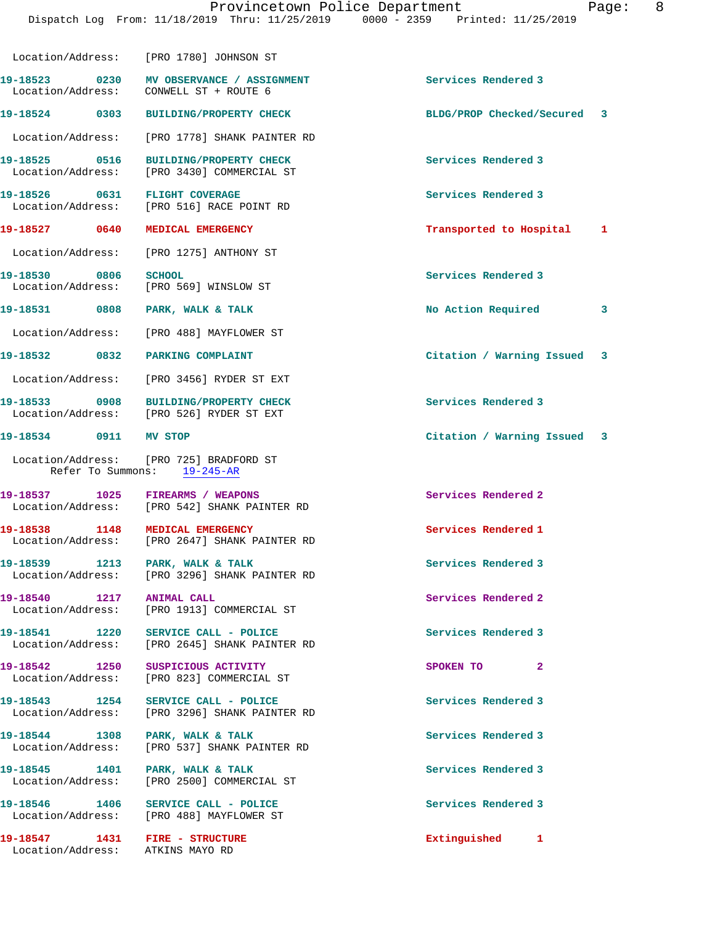|                                                         | Location/Address: [PRO 1780] JOHNSON ST                                              |                             |   |
|---------------------------------------------------------|--------------------------------------------------------------------------------------|-----------------------------|---|
| Location/Address: CONWELL ST + ROUTE 6                  |                                                                                      | Services Rendered 3         |   |
|                                                         | 19-18524 0303 BUILDING/PROPERTY CHECK                                                | BLDG/PROP Checked/Secured 3 |   |
|                                                         | Location/Address: [PRO 1778] SHANK PAINTER RD                                        |                             |   |
| 19-18525 0516                                           | <b>BUILDING/PROPERTY CHECK</b><br>Location/Address: [PRO 3430] COMMERCIAL ST         | Services Rendered 3         |   |
| 19-18526 0631 FLIGHT COVERAGE                           | Location/Address: [PRO 516] RACE POINT RD                                            | Services Rendered 3         |   |
| 19-18527 0640 MEDICAL EMERGENCY                         |                                                                                      | Transported to Hospital 1   |   |
|                                                         | Location/Address: [PRO 1275] ANTHONY ST                                              |                             |   |
| 19-18530 0806<br>Location/Address: [PRO 569] WINSLOW ST | <b>SCHOOL</b>                                                                        | Services Rendered 3         |   |
| 19-18531 0808 PARK, WALK & TALK                         |                                                                                      | No Action Required          | 3 |
|                                                         | Location/Address: [PRO 488] MAYFLOWER ST                                             |                             |   |
| 19-18532 0832 PARKING COMPLAINT                         |                                                                                      | Citation / Warning Issued 3 |   |
|                                                         | Location/Address: [PRO 3456] RYDER ST EXT                                            |                             |   |
|                                                         | 19-18533 0908 BUILDING/PROPERTY CHECK<br>Location/Address: [PRO 526] RYDER ST EXT    | Services Rendered 3         |   |
| 19-18534 0911 MV STOP                                   |                                                                                      | Citation / Warning Issued 3 |   |
|                                                         | Location/Address: [PRO 725] BRADFORD ST<br>Refer To Summons: 19-245-AR               |                             |   |
|                                                         | 19-18537 1025 FIREARMS / WEAPONS<br>Location/Address: [PRO 542] SHANK PAINTER RD     | Services Rendered 2         |   |
|                                                         | 19-18538 1148 MEDICAL EMERGENCY<br>Location/Address: [PRO 2647] SHANK PAINTER RD     | Services Rendered 1         |   |
| 19-18539 1213 PARK, WALK & TALK                         | Location/Address: [PRO 3296] SHANK PAINTER RD                                        | Services Rendered 3         |   |
| 19-18540 1217                                           | <b>ANIMAL CALL</b><br>Location/Address: [PRO 1913] COMMERCIAL ST                     | Services Rendered 2         |   |
|                                                         | 19-18541 1220 SERVICE CALL - POLICE<br>Location/Address: [PRO 2645] SHANK PAINTER RD | Services Rendered 3         |   |
| 19-18542 1250 SUSPICIOUS ACTIVITY                       | Location/Address: [PRO 823] COMMERCIAL ST                                            | SPOKEN TO<br>$\mathbf{2}$   |   |
|                                                         | 19-18543 1254 SERVICE CALL - POLICE<br>Location/Address: [PRO 3296] SHANK PAINTER RD | Services Rendered 3         |   |
| 19-18544 1308 PARK, WALK & TALK                         | Location/Address: [PRO 537] SHANK PAINTER RD                                         | Services Rendered 3         |   |
| 19-18545   1401   PARK, WALK & TALK                     | Location/Address: [PRO 2500] COMMERCIAL ST                                           | Services Rendered 3         |   |
|                                                         | 19-18546 1406 SERVICE CALL - POLICE<br>Location/Address: [PRO 488] MAYFLOWER ST      | Services Rendered 3         |   |
| Location/Address: ATKINS MAYO RD                        |                                                                                      | Extinguished 1              |   |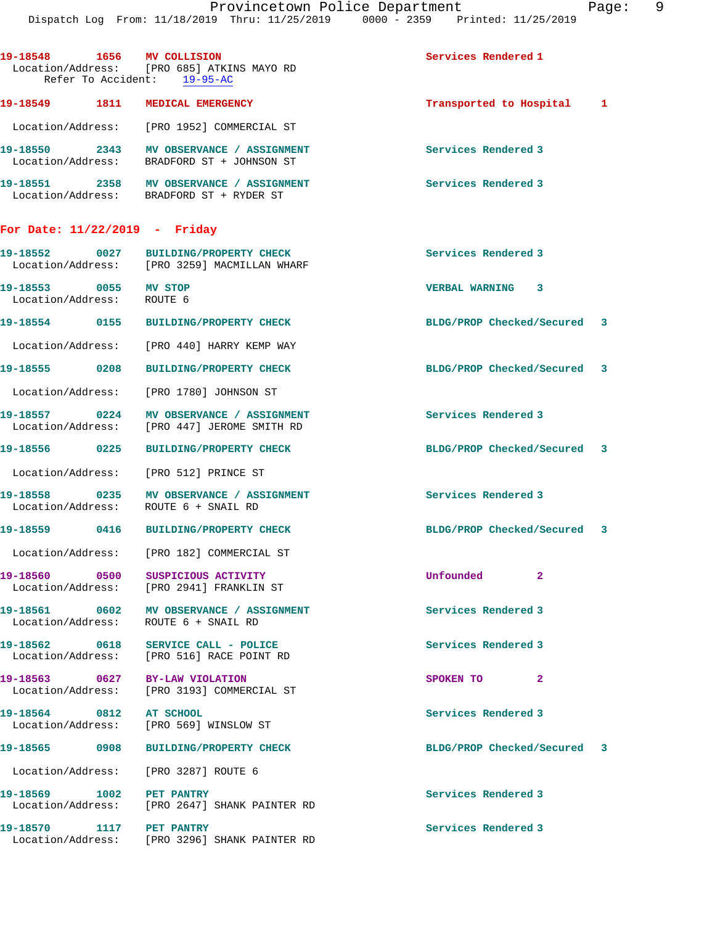| 19-18548 1656 MV COLLISION                         | Location/Address: [PRO 685] ATKINS MAYO RD                                             | Services Rendered 1         |    |  |
|----------------------------------------------------|----------------------------------------------------------------------------------------|-----------------------------|----|--|
|                                                    | Refer To Accident: 19-95-AC                                                            |                             |    |  |
|                                                    | 19-18549 1811 MEDICAL EMERGENCY                                                        | Transported to Hospital 1   |    |  |
|                                                    | Location/Address: [PRO 1952] COMMERCIAL ST                                             |                             |    |  |
|                                                    | 19-18550 2343 MV OBSERVANCE / ASSIGNMENT<br>Location/Address: BRADFORD ST + JOHNSON ST | Services Rendered 3         |    |  |
|                                                    | 19-18551 2358 MV OBSERVANCE / ASSIGNMENT<br>Location/Address: BRADFORD ST + RYDER ST   | Services Rendered 3         |    |  |
| For Date: $11/22/2019$ - Friday                    |                                                                                        |                             |    |  |
|                                                    | 19-18552 0027 BUILDING/PROPERTY CHECK<br>Location/Address: [PRO 3259] MACMILLAN WHARF  | Services Rendered 3         |    |  |
| 19-18553 0055 MV STOP<br>Location/Address: ROUTE 6 |                                                                                        | <b>VERBAL WARNING 3</b>     |    |  |
|                                                    | 19-18554 0155 BUILDING/PROPERTY CHECK                                                  | BLDG/PROP Checked/Secured 3 |    |  |
|                                                    | Location/Address: [PRO 440] HARRY KEMP WAY                                             |                             |    |  |
| 19-18555 0208                                      | <b>BUILDING/PROPERTY CHECK</b>                                                         | BLDG/PROP Checked/Secured 3 |    |  |
|                                                    | Location/Address: [PRO 1780] JOHNSON ST                                                |                             |    |  |
| 19-18557 0224                                      | MV OBSERVANCE / ASSIGNMENT<br>Location/Address: [PRO 447] JEROME SMITH RD              | Services Rendered 3         |    |  |
|                                                    | 19-18556 0225 BUILDING/PROPERTY CHECK                                                  | BLDG/PROP Checked/Secured 3 |    |  |
|                                                    | Location/Address: [PRO 512] PRINCE ST                                                  |                             |    |  |
|                                                    | 19-18558 0235 MV OBSERVANCE / ASSIGNMENT<br>Location/Address: ROUTE 6 + SNAIL RD       | Services Rendered 3         |    |  |
|                                                    | 19-18559 0416 BUILDING/PROPERTY CHECK                                                  | BLDG/PROP Checked/Secured 3 |    |  |
|                                                    | Location/Address: [PRO 182] COMMERCIAL ST                                              |                             |    |  |
|                                                    | 19-18560 0500 SUSPICIOUS ACTIVITY<br>Location/Address: [PRO 2941] FRANKLIN ST          | Unfounded 2                 |    |  |
|                                                    | 19-18561 0602 MV OBSERVANCE / ASSIGNMENT<br>Location/Address: ROUTE 6 + SNAIL RD       | Services Rendered 3         |    |  |
|                                                    | 19-18562 0618 SERVICE CALL - POLICE<br>Location/Address: [PRO 516] RACE POINT RD       | Services Rendered 3         |    |  |
|                                                    | 19-18563 0627 BY-LAW VIOLATION<br>Location/Address: [PRO 3193] COMMERCIAL ST           | SPOKEN TO                   | -2 |  |
| 19-18564 0812 AT SCHOOL                            | Location/Address: [PRO 569] WINSLOW ST                                                 | Services Rendered 3         |    |  |
|                                                    | 19-18565 0908 BUILDING/PROPERTY CHECK                                                  | BLDG/PROP Checked/Secured 3 |    |  |
|                                                    | Location/Address: [PRO 3287] ROUTE 6                                                   |                             |    |  |
| 19-18569 1002 PET PANTRY                           | Location/Address: [PRO 2647] SHANK PAINTER RD                                          | Services Rendered 3         |    |  |
| 19-18570 1117 PET PANTRY                           | Location/Address: [PRO 3296] SHANK PAINTER RD                                          | Services Rendered 3         |    |  |
|                                                    |                                                                                        |                             |    |  |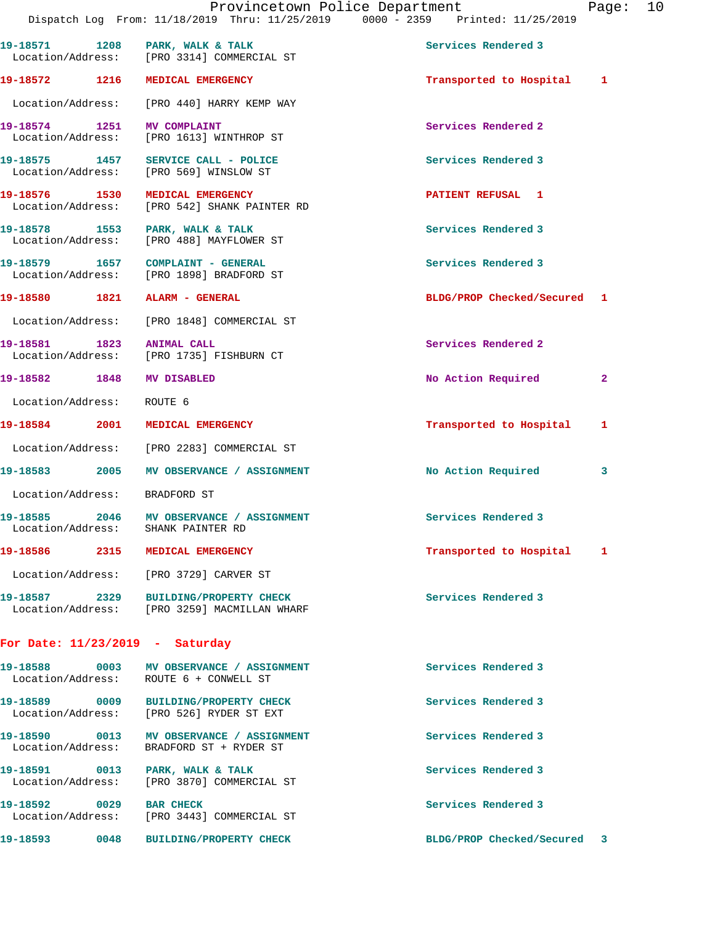|                                    | Provincetown Police Department<br>Dispatch Log From: 11/18/2019 Thru: 11/25/2019 0000 - 2359 Printed: 11/25/2019 |                             | Page: 10     |  |
|------------------------------------|------------------------------------------------------------------------------------------------------------------|-----------------------------|--------------|--|
|                                    | 19-18571 1208 PARK, WALK & TALK<br>Location/Address: [PRO 3314] COMMERCIAL ST                                    | Services Rendered 3         |              |  |
|                                    | 19-18572 1216 MEDICAL EMERGENCY                                                                                  | Transported to Hospital 1   |              |  |
|                                    | Location/Address: [PRO 440] HARRY KEMP WAY                                                                       |                             |              |  |
| 19-18574 1251 MV COMPLAINT         | Location/Address: [PRO 1613] WINTHROP ST                                                                         | Services Rendered 2         |              |  |
|                                    | 19-18575 1457 SERVICE CALL - POLICE<br>Location/Address: [PRO 569] WINSLOW ST                                    | Services Rendered 3         |              |  |
| 19-18576 1530<br>Location/Address: | MEDICAL EMERGENCY<br>[PRO 542] SHANK PAINTER RD                                                                  | PATIENT REFUSAL 1           |              |  |
|                                    | 19-18578 1553 PARK, WALK & TALK<br>Location/Address: [PRO 488] MAYFLOWER ST                                      | Services Rendered 3         |              |  |
|                                    | 19-18579 1657 COMPLAINT - GENERAL<br>Location/Address: [PRO 1898] BRADFORD ST                                    | Services Rendered 3         |              |  |
|                                    | 19-18580 1821 ALARM - GENERAL                                                                                    | BLDG/PROP Checked/Secured 1 |              |  |
|                                    | Location/Address: [PRO 1848] COMMERCIAL ST                                                                       |                             |              |  |
|                                    | 19-18581 1823 ANIMAL CALL<br>Location/Address: [PRO 1735] FISHBURN CT                                            | Services Rendered 2         |              |  |
| 19-18582 1848 MV DISABLED          |                                                                                                                  | No Action Required          | $\mathbf{2}$ |  |
| Location/Address: ROUTE 6          |                                                                                                                  |                             |              |  |
|                                    | 19-18584 2001 MEDICAL EMERGENCY                                                                                  | Transported to Hospital 1   |              |  |
|                                    | Location/Address: [PRO 2283] COMMERCIAL ST                                                                       |                             |              |  |
|                                    | 19-18583 2005 MV OBSERVANCE / ASSIGNMENT                                                                         | No Action Required          | 3            |  |
| Location/Address: BRADFORD ST      |                                                                                                                  |                             |              |  |
| Location/Address:                  | 19-18585 2046 MV OBSERVANCE / ASSIGNMENT<br>SHANK PAINTER RD                                                     | Services Rendered 3         |              |  |
|                                    | 19-18586 2315 MEDICAL EMERGENCY                                                                                  | Transported to Hospital     | 1            |  |
|                                    | Location/Address: [PRO 3729] CARVER ST                                                                           |                             |              |  |
|                                    | 19-18587 2329 BUILDING/PROPERTY CHECK<br>Location/Address: [PRO 3259] MACMILLAN WHARF                            | Services Rendered 3         |              |  |
|                                    | For Date: $11/23/2019$ - Saturday                                                                                |                             |              |  |
| 19-18588                           | 0003 MV OBSERVANCE / ASSIGNMENT<br>Location/Address: ROUTE 6 + CONWELL ST                                        | Services Rendered 3         |              |  |

**19-18589 0009 BUILDING/PROPERTY CHECK Services Rendered 3**  Location/Address: [PRO 526] RYDER ST EXT 19-18590 0013 MV OBSERVANCE / ASSIGNMENT **Services Rendered 3**  Location/Address: BRADFORD ST + RYDER ST **19-18591 0013 PARK, WALK & TALK Services Rendered 3**  Location/Address: [PRO 3870] COMMERCIAL ST 19-18592 0029 BAR CHECK 3 Location/Address: [PRO 3443] COMMERCIAL ST **19-18593 0048 BUILDING/PROPERTY CHECK BLDG/PROP Checked/Secured 3**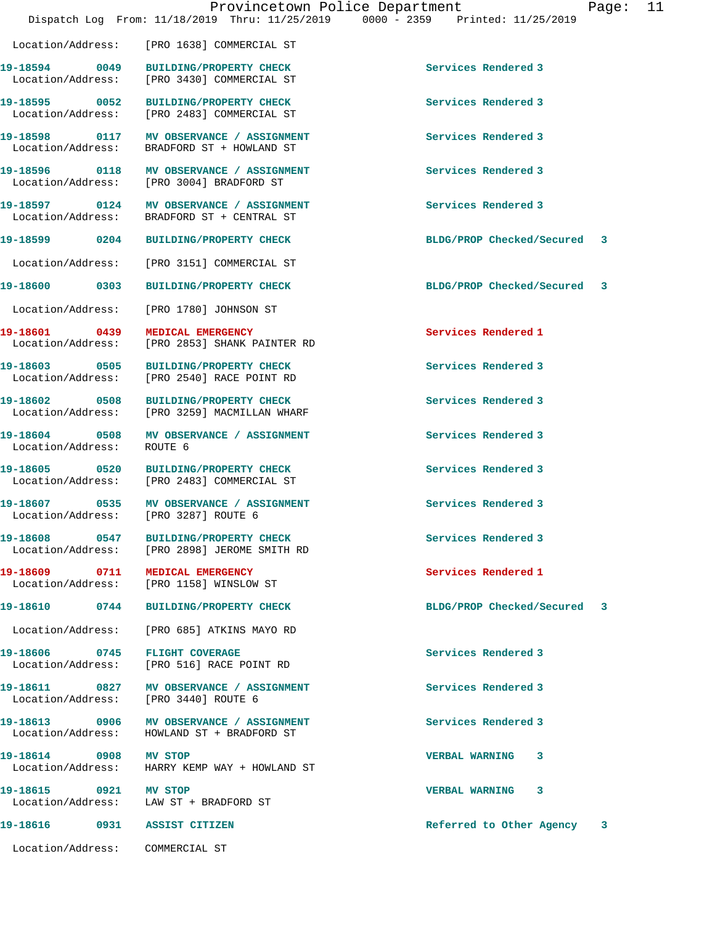|                                 | Dispatch Log From: 11/18/2019 Thru: 11/25/2019 0000 - 2359 Printed: 11/25/2019         | Provincetown Police Department<br>Page: 11 |  |
|---------------------------------|----------------------------------------------------------------------------------------|--------------------------------------------|--|
|                                 | Location/Address: [PRO 1638] COMMERCIAL ST                                             |                                            |  |
|                                 | 19-18594 0049 BUILDING/PROPERTY CHECK<br>Location/Address: [PRO 3430] COMMERCIAL ST    | Services Rendered 3                        |  |
|                                 | 19-18595 0052 BUILDING/PROPERTY CHECK<br>Location/Address: [PRO 2483] COMMERCIAL ST    | Services Rendered 3                        |  |
|                                 | 19-18598 0117 MV OBSERVANCE / ASSIGNMENT<br>Location/Address: BRADFORD ST + HOWLAND ST | Services Rendered 3                        |  |
|                                 | 19-18596 0118 MV OBSERVANCE / ASSIGNMENT<br>Location/Address: [PRO 3004] BRADFORD ST   | Services Rendered 3                        |  |
| Location/Address:               | 19-18597 0124 MV OBSERVANCE / ASSIGNMENT<br>BRADFORD ST + CENTRAL ST                   | Services Rendered 3                        |  |
|                                 | 19-18599 0204 BUILDING/PROPERTY CHECK                                                  | BLDG/PROP Checked/Secured 3                |  |
|                                 | Location/Address: [PRO 3151] COMMERCIAL ST                                             |                                            |  |
|                                 | 19-18600 0303 BUILDING/PROPERTY CHECK                                                  | BLDG/PROP Checked/Secured 3                |  |
|                                 | Location/Address: [PRO 1780] JOHNSON ST                                                |                                            |  |
| 19-18601 0439 MEDICAL EMERGENCY | Location/Address: [PRO 2853] SHANK PAINTER RD                                          | Services Rendered 1                        |  |
|                                 | 19-18603 0505 BUILDING/PROPERTY CHECK<br>Location/Address: [PRO 2540] RACE POINT RD    | Services Rendered 3                        |  |
|                                 | 19-18602 0508 BUILDING/PROPERTY CHECK<br>Location/Address: [PRO 3259] MACMILLAN WHARF  | Services Rendered 3                        |  |
| Location/Address:               | 19-18604 0508 MV OBSERVANCE / ASSIGNMENT<br>ROUTE 6                                    | Services Rendered 3                        |  |
|                                 | 19-18605 0520 BUILDING/PROPERTY CHECK<br>Location/Address: [PRO 2483] COMMERCIAL ST    | Services Rendered 3                        |  |
| Location/Address:               | 19-18607 0535 MV OBSERVANCE / ASSIGNMENT<br>[PRO 3287] ROUTE 6                         | Services Rendered 3                        |  |
|                                 | 19-18608 0547 BUILDING/PROPERTY CHECK<br>Location/Address: [PRO 2898] JEROME SMITH RD  | Services Rendered 3                        |  |
|                                 | 19-18609 0711 MEDICAL EMERGENCY<br>Location/Address: [PRO 1158] WINSLOW ST             | Services Rendered 1                        |  |
|                                 | 19-18610 0744 BUILDING/PROPERTY CHECK                                                  | BLDG/PROP Checked/Secured 3                |  |
|                                 | Location/Address: [PRO 685] ATKINS MAYO RD                                             |                                            |  |
| 19-18606 0745 FLIGHT COVERAGE   | Location/Address: [PRO 516] RACE POINT RD                                              | Services Rendered 3                        |  |
|                                 | 19-18611 0827 MV OBSERVANCE / ASSIGNMENT<br>Location/Address: [PRO 3440] ROUTE 6       | Services Rendered 3                        |  |
|                                 | 19-18613 0906 MV OBSERVANCE / ASSIGNMENT<br>Location/Address: HOWLAND ST + BRADFORD ST | Services Rendered 3                        |  |
| 19-18614 0908 MV STOP           | Location/Address: HARRY KEMP WAY + HOWLAND ST                                          | VERBAL WARNING 3                           |  |
| 19-18615 0921 MV STOP           | Location/Address: LAW ST + BRADFORD ST                                                 | VERBAL WARNING 3                           |  |
| 19-18616 0931 ASSIST CITIZEN    |                                                                                        | Referred to Other Agency<br>3              |  |

Location/Address: COMMERCIAL ST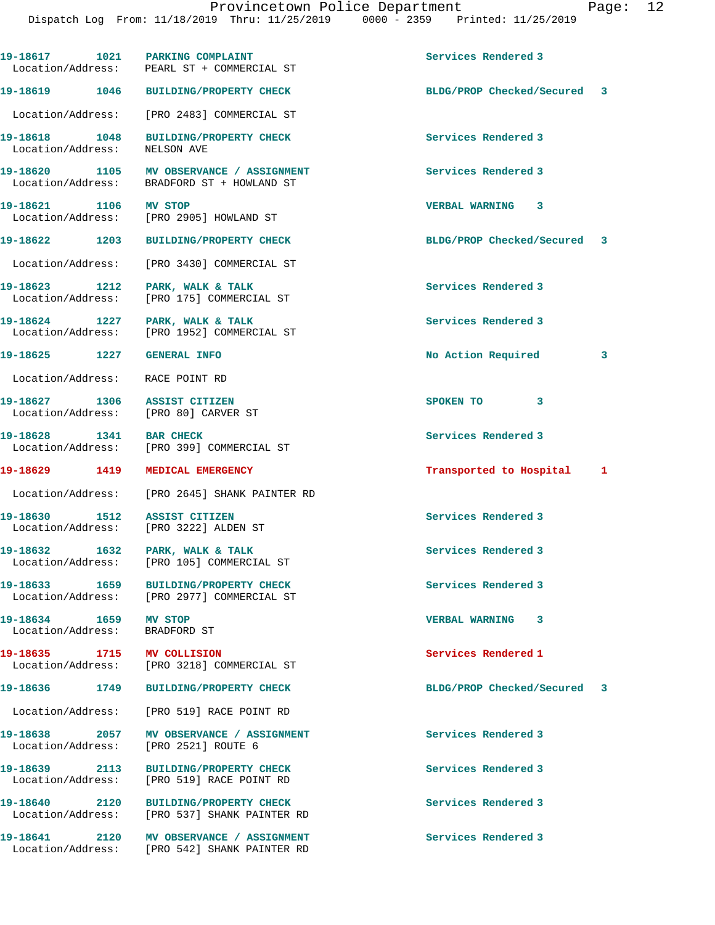|                                                        | 19-18617 1021 PARKING COMPLAINT<br>Location/Address: PEARL ST + COMMERCIAL ST            | Services Rendered 3         |   |
|--------------------------------------------------------|------------------------------------------------------------------------------------------|-----------------------------|---|
|                                                        | 19-18619 1046 BUILDING/PROPERTY CHECK                                                    | BLDG/PROP Checked/Secured 3 |   |
|                                                        | Location/Address: [PRO 2483] COMMERCIAL ST                                               |                             |   |
| Location/Address: NELSON AVE                           | 19-18618 1048 BUILDING/PROPERTY CHECK                                                    | Services Rendered 3         |   |
|                                                        | 19-18620 1105 MV OBSERVANCE / ASSIGNMENT<br>Location/Address: BRADFORD ST + HOWLAND ST   | Services Rendered 3         |   |
| 19-18621 1106 MV STOP                                  | Location/Address: [PRO 2905] HOWLAND ST                                                  | <b>VERBAL WARNING 3</b>     |   |
| 19-18622 1203                                          | <b>BUILDING/PROPERTY CHECK</b>                                                           | BLDG/PROP Checked/Secured 3 |   |
|                                                        | Location/Address: [PRO 3430] COMMERCIAL ST                                               |                             |   |
| Location/Address:                                      | 19-18623 1212 PARK, WALK & TALK<br>[PRO 175] COMMERCIAL ST                               | Services Rendered 3         |   |
|                                                        | 19-18624 1227 PARK, WALK & TALK<br>Location/Address: [PRO 1952] COMMERCIAL ST            | Services Rendered 3         |   |
| <b>19-18625 1227 GENERAL INFO</b>                      |                                                                                          | No Action Required          | 3 |
| Location/Address: RACE POINT RD                        |                                                                                          |                             |   |
|                                                        | 19-18627 1306 ASSIST CITIZEN<br>Location/Address: [PRO 80] CARVER ST                     | SPOKEN TO 3                 |   |
| 19-18628 1341 BAR CHECK                                | Location/Address: [PRO 399] COMMERCIAL ST                                                | Services Rendered 3         |   |
|                                                        | 19-18629 1419 MEDICAL EMERGENCY                                                          | Transported to Hospital 1   |   |
|                                                        | Location/Address: [PRO 2645] SHANK PAINTER RD                                            |                             |   |
|                                                        | 19-18630 1512 ASSIST CITIZEN<br>Location/Address: [PRO 3222] ALDEN ST                    | Services Rendered 3         |   |
| Location/Address:                                      | 19-18632 1632 PARK, WALK & TALK<br>[PRO 105] COMMERCIAL ST                               | Services Rendered 3         |   |
|                                                        | 19-18633 1659 BUILDING/PROPERTY CHECK<br>Location/Address: [PRO 2977] COMMERCIAL ST      | Services Rendered 3         |   |
| 19-18634 1659 MV STOP<br>Location/Address: BRADFORD ST |                                                                                          | <b>VERBAL WARNING 3</b>     |   |
| 19-18635 1715 MV COLLISION                             | Location/Address: [PRO 3218] COMMERCIAL ST                                               | Services Rendered 1         |   |
|                                                        | 19-18636 1749 BUILDING/PROPERTY CHECK                                                    | BLDG/PROP Checked/Secured   | 3 |
|                                                        | Location/Address: [PRO 519] RACE POINT RD                                                |                             |   |
|                                                        | 19-18638 2057 MV OBSERVANCE / ASSIGNMENT<br>Location/Address: [PRO 2521] ROUTE 6         | Services Rendered 3         |   |
|                                                        | 19-18639 2113 BUILDING/PROPERTY CHECK<br>Location/Address: [PRO 519] RACE POINT RD       | Services Rendered 3         |   |
|                                                        | 19-18640 2120 BUILDING/PROPERTY CHECK<br>Location/Address: [PRO 537] SHANK PAINTER RD    | Services Rendered 3         |   |
|                                                        | 19-18641 2120 MV OBSERVANCE / ASSIGNMENT<br>Location/Address: [PRO 542] SHANK PAINTER RD | Services Rendered 3         |   |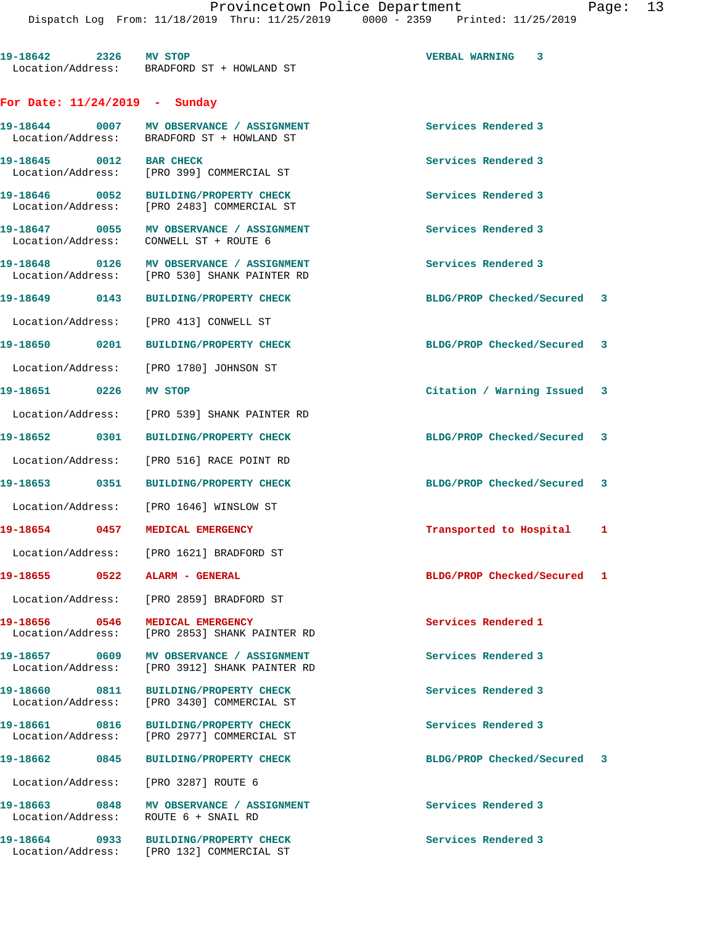**19-18642 2326 MV STOP VERBAL WARNING 3**  Location/Address: BRADFORD ST + HOWLAND ST **For Date: 11/24/2019 - Sunday 19-18644 0007 MV OBSERVANCE / ASSIGNMENT Services Rendered 3**  Location/Address: BRADFORD ST + HOWLAND ST 19-18645 0012 BAR CHECK Services Rendered 3 Location/Address: [PRO 399] COMMERCIAL ST **19-18646 0052 BUILDING/PROPERTY CHECK Services Rendered 3**  Location/Address: [PRO 2483] COMMERCIAL ST 19-18647 **0055** MV OBSERVANCE / ASSIGNMENT **Services Rendered 3**  Location/Address: CONWELL ST + ROUTE 6 19-18648 **0126** MV OBSERVANCE / ASSIGNMENT **Services Rendered 3**  Location/Address: [PRO 530] SHANK PAINTER RD **19-18649 0143 BUILDING/PROPERTY CHECK BLDG/PROP Checked/Secured 3** Location/Address: [PRO 413] CONWELL ST **19-18650 0201 BUILDING/PROPERTY CHECK BLDG/PROP Checked/Secured 3** Location/Address: [PRO 1780] JOHNSON ST **19-18651 0226 MV STOP Citation / Warning Issued 3** Location/Address: [PRO 539] SHANK PAINTER RD **19-18652 0301 BUILDING/PROPERTY CHECK BLDG/PROP Checked/Secured 3** Location/Address: [PRO 516] RACE POINT RD **19-18653 0351 BUILDING/PROPERTY CHECK BLDG/PROP Checked/Secured 3** Location/Address: [PRO 1646] WINSLOW ST **19-18654 0457 MEDICAL EMERGENCY Transported to Hospital 1** Location/Address: [PRO 1621] BRADFORD ST **19-18655 0522 ALARM - GENERAL BLDG/PROP Checked/Secured 1** Location/Address: [PRO 2859] BRADFORD ST **19-18656 0546 MEDICAL EMERGENCY Services Rendered 1**  [PRO 2853] SHANK PAINTER RD 19-18657 0609 MV OBSERVANCE / ASSIGNMENT **Services Rendered 3**  Location/Address: [PRO 3912] SHANK PAINTER RD **19-18660 0811 BUILDING/PROPERTY CHECK Services Rendered 3**  Location/Address: [PRO 3430] COMMERCIAL ST **19-18661 0816 BUILDING/PROPERTY CHECK Services Rendered 3**  Location/Address: [PRO 2977] COMMERCIAL ST **19-18662 0845 BUILDING/PROPERTY CHECK BLDG/PROP Checked/Secured 3** Location/Address: [PRO 3287] ROUTE 6

19-18663 0848 MV OBSERVANCE / ASSIGNMENT **Services Rendered 3** Location/Address: ROUTE 6 + SNAIL RD

**19-18664 0933 BUILDING/PROPERTY CHECK Services Rendered 3**  Location/Address: [PRO 132] COMMERCIAL ST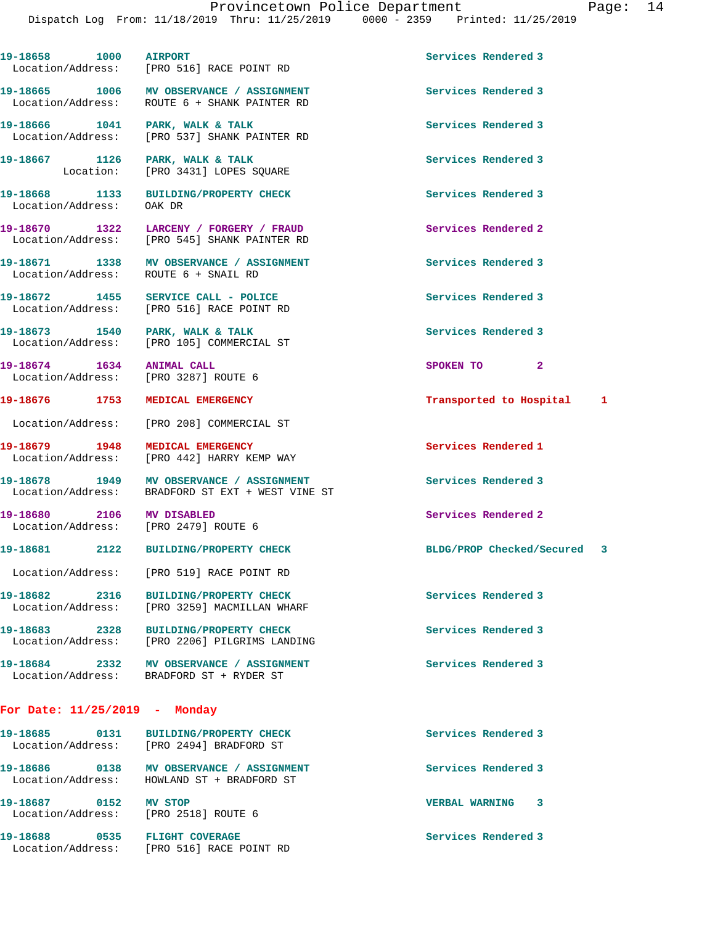19-18658 1000 AIRPORT Services Rendered 3 Location/Address: [PRO 516] RACE POINT RD **19-18665 1006 MV OBSERVANCE / ASSIGNMENT Services Rendered 3**  Location/Address: ROUTE 6 + SHANK PAINTER RD **19-18666 1041 PARK, WALK & TALK Services Rendered 3**  Location/Address: [PRO 537] SHANK PAINTER RD 19-18667 1126 PARK, WALK & TALK **Services Rendered 3**  Location: [PRO 3431] LOPES SQUARE **19-18668 1133 BUILDING/PROPERTY CHECK Services Rendered 3**  Location/Address: OAK DR **19-18670 1322 LARCENY / FORGERY / FRAUD Services Rendered 2**  Location/Address: [PRO 545] SHANK PAINTER RD **19-18671 1338 MV OBSERVANCE / ASSIGNMENT Services Rendered 3**  Location/Address: ROUTE 6 + SNAIL RD **19-18672 1455 SERVICE CALL - POLICE Services Rendered 3**  Location/Address: [PRO 516] RACE POINT RD 19-18673 1540 PARK, WALK & TALK **Services Rendered 3**  Location/Address: [PRO 105] COMMERCIAL ST **19-18674 1634 ANIMAL CALL SPOKEN TO 2**  Location/Address: [PRO 3287] ROUTE 6

**19-18676 1753 MEDICAL EMERGENCY Transported to Hospital 1**

Location/Address: [PRO 208] COMMERCIAL ST

**19-18679 1948 MEDICAL EMERGENCY Services Rendered 1**  Location/Address: [PRO 442] HARRY KEMP WAY

19-18678 1949 MV OBSERVANCE / ASSIGNMENT **Services Rendered 3** Location/Address: BRADFORD ST EXT + WEST VINE ST

**19-18680 2106 MV DISABLED Services Rendered 2**  Location/Address: [PRO 2479] ROUTE 6

**19-18682 2316 BUILDING/PROPERTY CHECK Services Rendered 3**  Location/Address: [PRO 3259] MACMILLAN WHARF

**19-18683 2328 BUILDING/PROPERTY CHECK Services Rendered 3**  Location/Address: [PRO 2206] PILGRIMS LANDING

Location/Address: [PRO 519] RACE POINT RD

**19-18684 2332 MV OBSERVANCE / ASSIGNMENT Services Rendered 3**  Location/Address: BRADFORD ST + RYDER ST

## **For Date: 11/25/2019 - Monday**

| 19–18685<br>0131<br>Location/Address: | <b>BUILDING/PROPERTY CHECK</b><br>[PRO 2494] BRADFORD ST | Services Rendered 3        |
|---------------------------------------|----------------------------------------------------------|----------------------------|
| 19-18686<br>0138<br>Location/Address: | MV OBSERVANCE / ASSIGNMENT<br>HOWLAND ST + BRADFORD ST   | Services Rendered 3        |
| 19–18687<br>0152<br>Location/Address: | MV STOP<br>[PRO 2518] ROUTE 6                            | <b>VERBAL WARNING</b><br>з |
| 19-18688<br>0535<br>Location/Address: | <b>FLIGHT COVERAGE</b><br>[PRO 516] RACE POINT RD        | Services Rendered 3        |

**19-18681 2122 BUILDING/PROPERTY CHECK BLDG/PROP Checked/Secured 3**